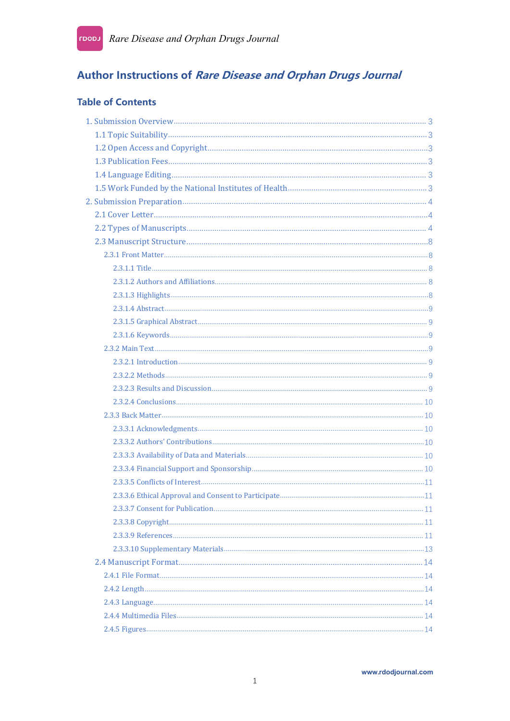# Author Instructions of Rare Disease and Orphan Drugs Journal

## **Table of Contents**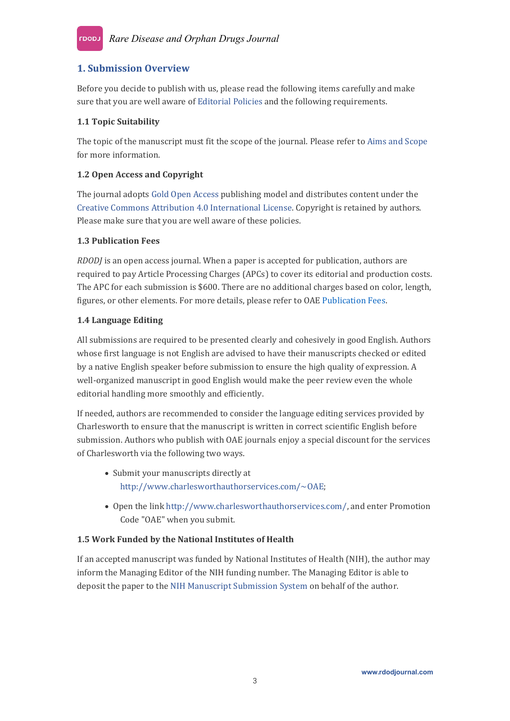## <span id="page-2-0"></span>**1. Submission Overview**

Before you decide to publish with us, please read the following items carefully and make sure that you are well aware of [Editorial](https://rdodjournal.com/pages/view/editorial_policies) Policies and the following requirements.

## <span id="page-2-1"></span>**1.1 Topic Suitability**

The topic of the manuscript must fit the scope of the journal. Please refer to Aims and [Scope](https://rdodjournal.com/pages/view/aims_and_scope) for more information.

#### <span id="page-2-2"></span>**1.2 Open Access and Copyright**

The journal adopts Gold Open [Access](https://oaepublish.com/pages/view/open_access_policy) publishing model and distributes content under the Creative Commons Attribution 4.0 [International](https://creativecommons.org/licenses/by/4.0/) License. Copyright is retained by authors. Please make sure that you are well aware of these policies.

#### <span id="page-2-3"></span>**1.3 Publication Fees**

<span id="page-2-4"></span>*RDODJ* is an open access journal. When a paper is accepted for publication, authors are required to pay Article Processing Charges (APCs) to cover its editorial and production costs. The APC for each submission is \$600. There are no additional charges based on color, length, figures, or other elements. For more details, please refer to OAE [Publication](https://oaepublish.com/pages/view/publication_fees) Fees.

#### **1.4 Language Editing**

All submissions are required to be presented clearly and cohesively in good English. Authors whose first language is not English are advised to have their manuscripts checked or edited by a native English speaker before submission to ensure the high quality of expression. A well-organized manuscript in good English would make the peer review even the whole editorial handling more smoothly and efficiently.

If needed, authors are recommended to consider the language editing services provided by Charlesworth to ensure that the manuscript is written in correct scientific English before submission. Authors who publish with OAE journals enjoy a special discount for the services of Charlesworth via the following two ways.

- Submit your manuscripts directly at <http://www.charlesworthauthorservices.com/~OAE>;
- Open the link <http://www.charlesworthauthorservices.com/>, and enter Promotion Code "OAE" when you submit.

## <span id="page-2-5"></span>**1.5 Work Funded by the NationalInstitutes of Health**

If an accepted manuscript was funded by National Institutes of Health (NIH), the author may inform the Managing Editor of the NIH funding number. The Managing Editor is able to deposit the paper to the NIH Manuscript [Submission](http://nihms.nih.gov/) System on behalf of the author.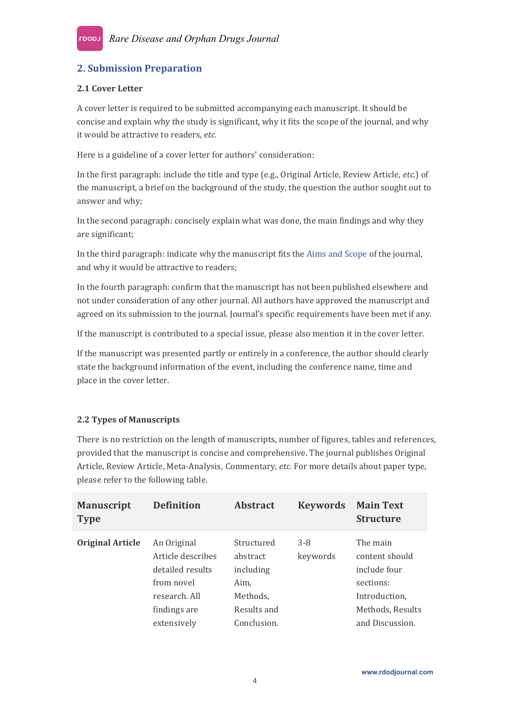## <span id="page-3-0"></span>**2. Submission Preparation**

#### <span id="page-3-1"></span>**2.1 Cover Letter**

A cover letter is required to be submitted accompanying each manuscript. It should be concise and explain why the study is significant, why it fits the scope of the journal, and why it would be attractive to readers, etc.

Here is a guideline of a cover letter for authors' consideration:

In the first paragraph: include the title and type (e.g., Original Article, Review Article, *etc*.) of the manuscript, a brief on the background of the study, the question the author sought out to answer and why;

In the second paragraph: concisely explain what was done, the main findings and why they are significant;

In the third paragraph: indicate why the manuscript fits the Aims and [Scope](https://rdodjournal.com/pages/view/aims_and_scope) of the journal, and why it would be attractive to readers;

In the fourth paragraph: confirm that the manuscript has not been published elsewhere and not under consideration of any other journal. All authors have approved the manuscript and agreed on its submission to the journal. Journal's specific requirements have been met if any.

If the manuscript is contributed to a special issue, please also mention it in the cover letter.<br>If the manuscript was presented partly or entirely in a conference, the author should clearly

state the background information of the event, including the conference name, time and place in the cover letter.

#### <span id="page-3-2"></span>**2.2 Types of Manuscripts**

There is no restriction on the length of manuscripts, number of figures, tables and references, provided that the manuscript is concise and comprehensive. The journal publishes Original Article, Review Article, Meta-Analysis, Commentary, *etc.* For more details about paper type, please refer to the following table.

| <b>Manuscript</b><br><b>Type</b> | <b>Definition</b> | <b>Abstract</b> | <b>Keywords</b> | <b>Main Text</b><br><b>Structure</b> |
|----------------------------------|-------------------|-----------------|-----------------|--------------------------------------|
| <b>Original Article</b>          | An Original       | Structured      | $3 - 8$         | The main                             |
|                                  | Article describes | abstract        | keywords        | content should                       |
|                                  | detailed results  | including       |                 | include four                         |
|                                  | from novel        | Aim,            |                 | sections:                            |
|                                  | research. All     | Methods,        |                 | Introduction,                        |
|                                  | findings are      | Results and     |                 | Methods, Results                     |
|                                  | extensively       | Conclusion.     |                 | and Discussion.                      |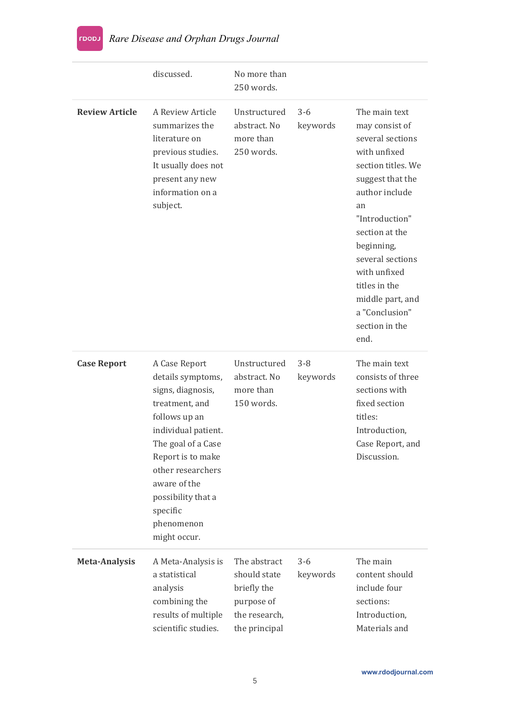|                       | discussed.                                                                                                                                                                                                                                                        | No more than<br>250 words.                                                                  |                     |                                                                                                                                                                                                                                                                                                              |
|-----------------------|-------------------------------------------------------------------------------------------------------------------------------------------------------------------------------------------------------------------------------------------------------------------|---------------------------------------------------------------------------------------------|---------------------|--------------------------------------------------------------------------------------------------------------------------------------------------------------------------------------------------------------------------------------------------------------------------------------------------------------|
| <b>Review Article</b> | A Review Article<br>summarizes the<br>literature on<br>previous studies.<br>It usually does not<br>present any new<br>information on a<br>subject.                                                                                                                | Unstructured<br>abstract. No<br>more than<br>250 words.                                     | $3 - 6$<br>keywords | The main text<br>may consist of<br>several sections<br>with unfixed<br>section titles. We<br>suggest that the<br>author include<br>an<br>"Introduction"<br>section at the<br>beginning,<br>several sections<br>with unfixed<br>titles in the<br>middle part, and<br>a "Conclusion"<br>section in the<br>end. |
| <b>Case Report</b>    | A Case Report<br>details symptoms,<br>signs, diagnosis,<br>treatment, and<br>follows up an<br>individual patient.<br>The goal of a Case<br>Report is to make<br>other researchers<br>aware of the<br>possibility that a<br>specific<br>phenomenon<br>might occur. | Unstructured<br>abstract. No<br>more than<br>150 words.                                     | $3 - 8$<br>keywords | The main text<br>consists of three<br>sections with<br>fixed section<br>titles:<br>Introduction,<br>Case Report, and<br>Discussion.                                                                                                                                                                          |
| <b>Meta-Analysis</b>  | A Meta-Analysis is<br>a statistical<br>analysis<br>combining the<br>results of multiple<br>scientific studies.                                                                                                                                                    | The abstract<br>should state<br>briefly the<br>purpose of<br>the research,<br>the principal | $3 - 6$<br>keywords | The main<br>content should<br>include four<br>sections:<br>Introduction,<br>Materials and                                                                                                                                                                                                                    |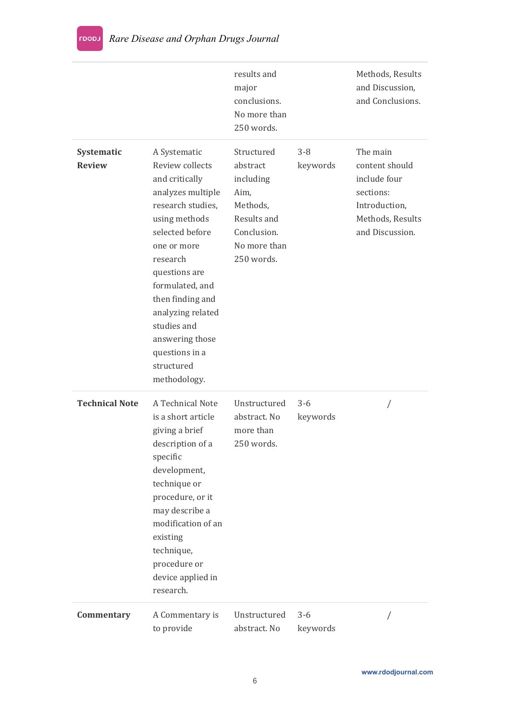|                             |                                                                                                                                                                                                                                                                                                                           | results and<br>major<br>conclusions.<br>No more than<br>250 words.                                                  |                     | Methods, Results<br>and Discussion,<br>and Conclusions.                                                         |
|-----------------------------|---------------------------------------------------------------------------------------------------------------------------------------------------------------------------------------------------------------------------------------------------------------------------------------------------------------------------|---------------------------------------------------------------------------------------------------------------------|---------------------|-----------------------------------------------------------------------------------------------------------------|
| Systematic<br><b>Review</b> | A Systematic<br>Review collects<br>and critically<br>analyzes multiple<br>research studies,<br>using methods<br>selected before<br>one or more<br>research<br>questions are<br>formulated, and<br>then finding and<br>analyzing related<br>studies and<br>answering those<br>questions in a<br>structured<br>methodology. | Structured<br>abstract<br>including<br>Aim,<br>Methods,<br>Results and<br>Conclusion.<br>No more than<br>250 words. | $3 - 8$<br>keywords | The main<br>content should<br>include four<br>sections:<br>Introduction,<br>Methods, Results<br>and Discussion. |
| <b>Technical Note</b>       | A Technical Note<br>is a short article<br>giving a brief<br>description of a<br>specific<br>development,<br>technique or<br>procedure, or it<br>may describe a<br>modification of an<br>existing<br>technique,<br>procedure or<br>device applied in<br>research.                                                          | Unstructured<br>abstract. No<br>more than<br>250 words.                                                             | $3 - 6$<br>keywords |                                                                                                                 |
| Commentary                  | A Commentary is<br>to provide                                                                                                                                                                                                                                                                                             | Unstructured<br>abstract. No                                                                                        | $3 - 6$<br>keywords |                                                                                                                 |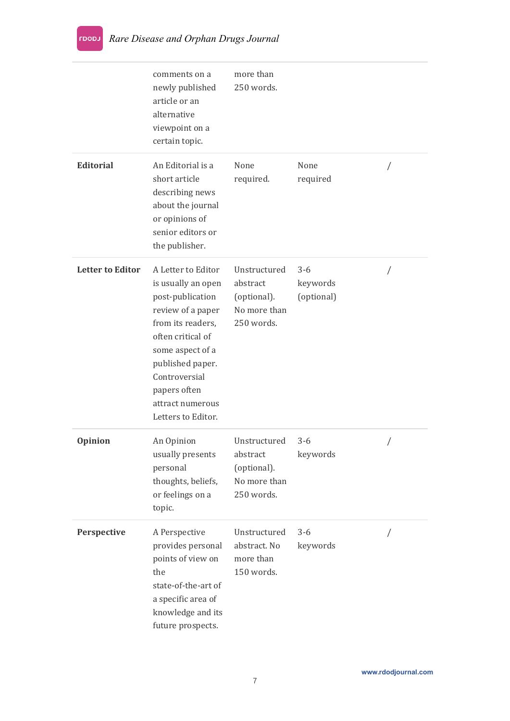|                         | comments on a<br>newly published<br>article or an<br>alternative<br>viewpoint on a<br>certain topic.                                                                                                                                           | more than<br>250 words.                                               |                                   |  |
|-------------------------|------------------------------------------------------------------------------------------------------------------------------------------------------------------------------------------------------------------------------------------------|-----------------------------------------------------------------------|-----------------------------------|--|
| <b>Editorial</b>        | An Editorial is a<br>short article<br>describing news<br>about the journal<br>or opinions of<br>senior editors or<br>the publisher.                                                                                                            | None<br>required.                                                     | None<br>required                  |  |
| <b>Letter to Editor</b> | A Letter to Editor<br>is usually an open<br>post-publication<br>review of a paper<br>from its readers,<br>often critical of<br>some aspect of a<br>published paper.<br>Controversial<br>papers often<br>attract numerous<br>Letters to Editor. | Unstructured<br>abstract<br>(optional).<br>No more than<br>250 words. | $3 - 6$<br>keywords<br>(optional) |  |
| Opinion                 | An Opinion<br>usually presents<br>personal<br>thoughts, beliefs,<br>or feelings on a<br>topic.                                                                                                                                                 | Unstructured<br>abstract<br>(optional).<br>No more than<br>250 words. | $3 - 6$<br>keywords               |  |
| Perspective             | A Perspective<br>provides personal<br>points of view on<br>the<br>state-of-the-art of<br>a specific area of<br>knowledge and its<br>future prospects.                                                                                          | Unstructured<br>abstract. No<br>more than<br>150 words.               | $3 - 6$<br>keywords               |  |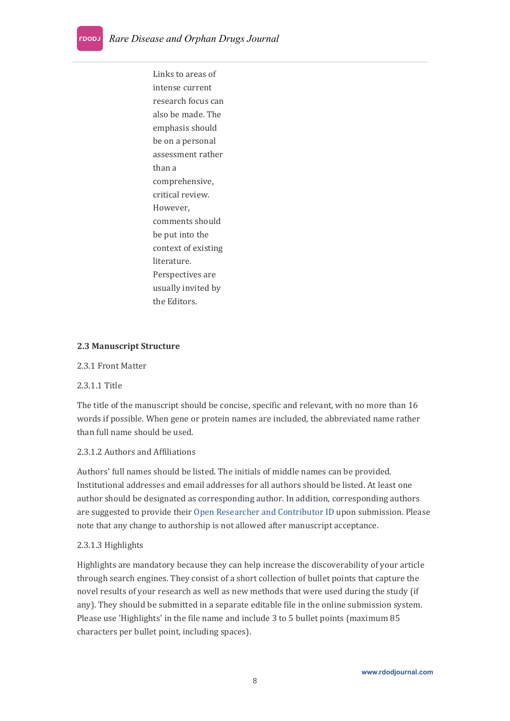Links to areas of intense current research focus can also be made. The emphasis should be on a personal assessment rather than a comprehensive, critical review. However, comments should be put into the context of existing literature. Perspectives are usually invited by the Editors.

#### <span id="page-7-0"></span>**2.3 Manuscript Structure**

#### <span id="page-7-1"></span>2.3.1 Front Matter

#### <span id="page-7-2"></span>2.3.1.1 Title

The title of the manuscript should be concise, specific and relevant, with no more than 16 words if possible. When gene or protein names are included, the abbreviated name rather than full name should be used.

#### <span id="page-7-3"></span>2.3.1.2 Authors and Affiliations

Authors' full names should belisted. The initials of middle names can be provided. Institutional addresses and email addresses for all authors should belisted. At least one author should be designated as corresponding author. In addition, corresponding authors are suggested to provide their Open Researcher and [Contributor](https://orcid.org/) ID upon submission. Please note that any change to authorship is not allowed after manuscript acceptance.

#### <span id="page-7-4"></span>2.3.1.3 Highlights

Highlights are mandatory because they can help increase the discoverability of your article through search engines. They consist of a short collection of bullet points that capture the novel results of your research as well as new methods that were used during the study (if any). They should be submitted in a separate editable file in the online submission system. Please use 'Highlights' in the file name and include 3 to 5 bullet points (maximum 85 characters per bullet point, including spaces).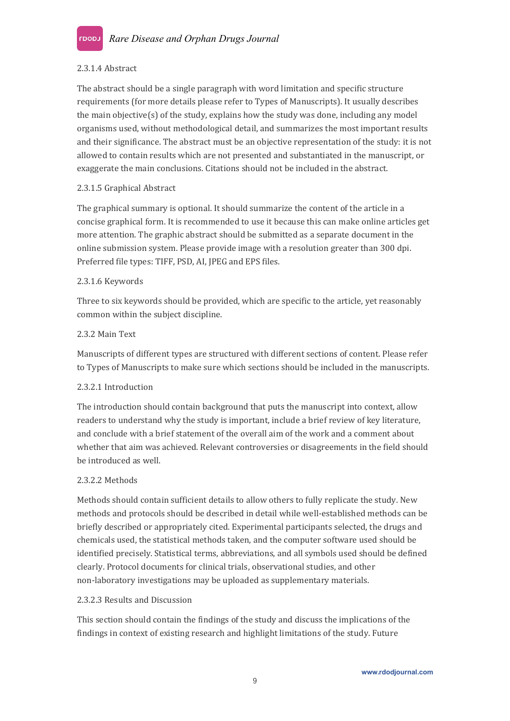

#### <span id="page-8-0"></span>2.3.1.4 Abstract

The abstract should be a single paragraph with word limitation and specific structure requirements (for more details please refer to Types of Manuscripts). It usually describes the main objective(s) of the study, explains how the study was done, including any model organisms used, without methodological detail, and summarizes the most important results and their significance. The abstract must be an objective representation of the study: it is not allowed to contain results which are not presented and substantiated in the manuscript, or exaggerate the main conclusions. Citations should not be included in the abstract.2.3.1.5 Graphical Abstract

<span id="page-8-1"></span>The graphical summary is optional. It should summarize the content of the article in a concise graphical form. It is recommended to use it because this can make online articles get more attention. The graphic abstract should be submitted as a separate document in the online submission system. Please provide image with a resolution greater than 300 dpi. Preferred file types: TIFF, PSD, AI, JPEG and EPS files.

#### <span id="page-8-2"></span>2.3.1.6 Keywords

Three to six keywords should be provided, which are specific to the article, yet reasonably common within the subject discipline.

#### <span id="page-8-3"></span>2.3.2 Main Text

Manuscripts of different types are structured with different sections of content. Please refer to Types of Manuscripts to make sure which sections should be included in the manuscripts.

#### <span id="page-8-4"></span>2.3.2.1 Introduction

The introduction should contain background that puts the manuscript into context, allow readers to understand why the study is important, include a brief review of key literature, and conclude with a brief statement of the overall aim of the work and a comment about whether that aim was achieved. Relevant controversies or disagreements in the field should be introduced as well.

#### <span id="page-8-5"></span>2.3.2.2 Methods

Methods should contain sufficient details to allow others to fully replicate the study. New methods and protocols should be described in detail while well-established methods can be briefly described or appropriately cited. Experimental participants selected, the drugs and chemicals used, the statistical methods taken, and the computer software used should be identified precisely. Statistical terms, abbreviations, and all symbols used should be defined clearly. Protocol documents for clinical trials, observational studies, and other non-laboratory investigations may be uploaded as supplementary materials.

#### <span id="page-8-6"></span>2.3.2.3 Results and Discussion

This section should contain the findings of the study and discuss the implications of the findings in context of existing research and highlight limitations of the study. Future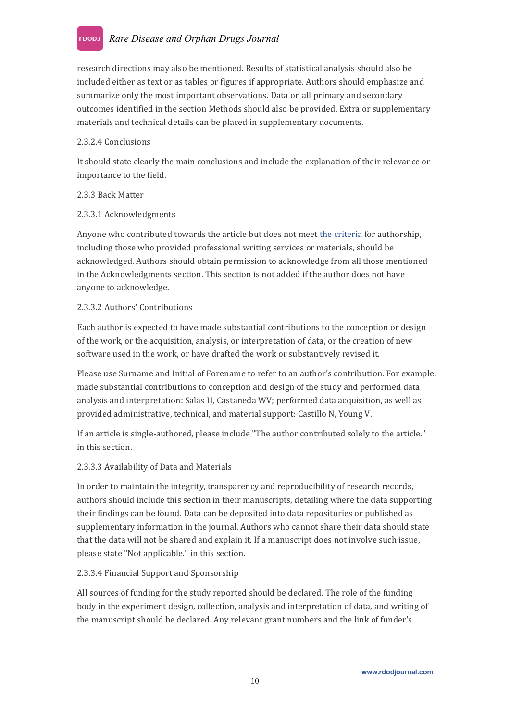#### *Rare Disease and Orphan Drugs Journal* LOODJ

research directions may also be mentioned. Results of statistical analysis should also be included either as text or as tables or figures if appropriate. Authors should emphasize and summarize only the most important observations. Data on all primary and secondary outcomes identified in the section Methods should also be provided. Extra or supplementary materials and technical details can be placed in supplementary documents.

#### <span id="page-9-0"></span>2.3.2.4 Conclusions

It should state clearly the main conclusions and include the explanation of their relevance or importance to the field.

#### <span id="page-9-1"></span>2.3.3 Back Matter

#### <span id="page-9-2"></span>2.3.3.1 Acknowledgments

Anyone who contributed towards the article but does not meet the [criteria](http://www.icmje.org/recommendations/browse/roles-and-responsibilities/defining-the-role-of-authors-and-contributors.html) for authorship, including those who provided professional writing services or materials, should be acknowledged. Authors should obtain permission to acknowledge from all those mentioned in the Acknowledgments section. This section is not added if the author does not have anyone to acknowledge.

#### <span id="page-9-3"></span>2.3.3.2 Authors' Contributions

Each author is expected to have made substantial contributions to the conception or design of the work, or the acquisition, analysis, or interpretation of data, or the creation of new software used in the work, or have drafted the work or substantively revised it.

Please use Surname and Initial of Forename to refer to an author's contribution. For example: made substantial contributions to conception and design of the study and performed data analysis and interpretation: Salas H, Castaneda WV; performed data acquisition, as well as provided administrative, technical, and material support: Castillo N, Young V.

If an article is single-authored, please include "The author contributed solely to the article." in this section.

#### <span id="page-9-4"></span>2.3.3.3 Availability of Data and Materials

In order to maintain the integrity, transparency and reproducibility of research records, authors should include this section in their manuscripts, detailing where the data supporting their findings can be found. Data can be deposited into data repositories or published as supplementary information in the journal. Authors who cannot share their data should state that the data will not be shared and explain it. If a manuscript does not involve such issue, please state "Not applicable." in this section.

#### <span id="page-9-5"></span>2.3.3.4 Financial Support and Sponsorship

All sources of funding for the study reported should bedeclared. The role of the funding body in the experiment design, collection, analysis and interpretation of data, and writing of the manuscript should be declared. Any relevant grant numbers and the link of funder's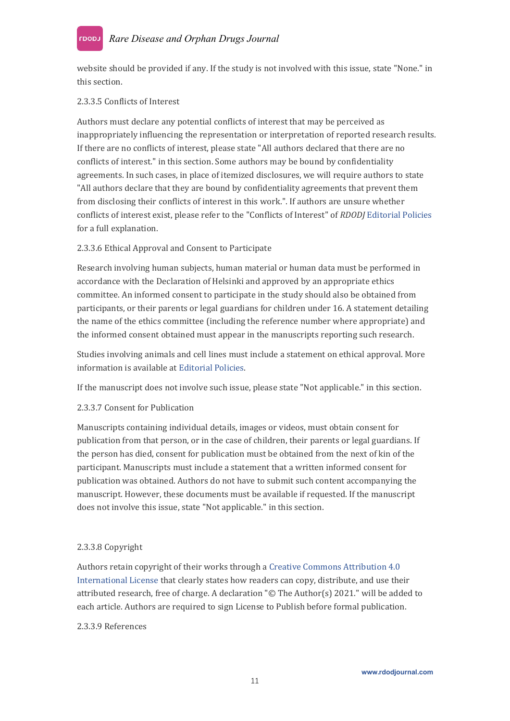#### *Rare Disease and Orphan Drugs Journal* LOODJ

website should be provided if any. If the study is not involved with this issue, state "None." in this section.

#### <span id="page-10-0"></span>2.3.3.5 Conflicts of Interest

Authors must declare any potential conflicts of interest that may be perceived as inappropriately influencing the representation or interpretation of reported research results. If there are no conflicts of interest, please state "Allauthors declared that there are no conflicts of interest." in this section. Some authors may be bound by confidentiality agreements. In such cases, in place of itemized disclosures, we will require authors to state "All authors declare that they are bound by confidentiality agreements that prevent them from disclosing their conflicts of interest in this work.". If authors are unsure whether conflicts of interest exist, please refer to the "Conflicts of Interest" of *RDODJ* [Editorial](https://rdodjournal.com/pages/view/author_instructions) Policies for a full explanation.

#### <span id="page-10-1"></span>2.3.3.6 Ethical Approval and Consent to Participate

Research involving human subjects, human material or human data must be performed in accordance with the [Declaration](https://www.wma.net/policies-post/wma-declaration-of-helsinki-ethical-principles-for-medical-research-involving-human-subjects/) of Helsinki and approved by an appropriate ethics committee. An informed consent to participate in the study should also be obtained from participants, or their parents or legal guardians for children under 16. A statement detailing the name of the ethics committee (including the reference number where appropriate) and the informed consent obtained must appear in the manuscripts reporting such research.

Studies involving animals and cell lines must include a statement on ethical approval. More information is available at [Editorial](https://rdodjournal.com/pages/view/editorial_policies) Policies.

If the manuscript does notinvolve such issue, please state "Not applicable." in this section.

#### <span id="page-10-2"></span>2.3.3.7 Consent for Publication

Manuscripts containing individual details, images or videos, must obtain consent for publication from that person, or in the case of children, their parents or legal guardians. If the person has died, consent for publication must be obtained from the next of kin of the participant. Manuscripts must include a statement that a written informed consent for publication was obtained.Authors do not have to submit such content accompanying the manuscript. However, these documents must be available if requested. If the manuscript does not involve this issue, state "Not applicable." in this section.

#### <span id="page-10-3"></span>2.3.3.8 Copyright

Authors retain copyright of their works through a Creative Commons [Attribution](http://creativecommons.org/licenses/by/4.0) 4.0 International License that clearly states how readers can copy, distribute, and use their attributed research, free of charge. A declaration "© The Author(s) 2021." will be added to each article. Authors are required to sign License to Publish before formal publication.

#### <span id="page-10-4"></span>2.3.3.9 References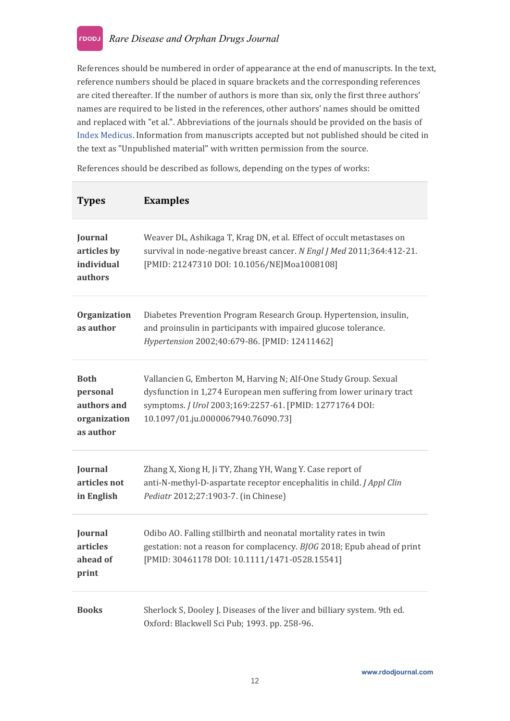References should be numbered in order of appearance at the end of manuscripts. In the text, reference numbers should be placed in square brackets and the corresponding references are cited thereafter. If the number of authors is more than six, only the first three authors' names are required to be listed in the references, other authors' names should be omitted and replaced with "et al.". Abbreviations of the journals should be provided on the basis of Index [Medicus.](http://www2.bg.am.poznan.pl/czasopisma/medicus.php?lang=eng) Information from manuscripts accepted but not published should becited in the text as "Unpublished material" with written permission from the source.

References should be described as follows, depending on the types of works:

| <b>Types</b>                                                        | <b>Examples</b>                                                                                                                                                                                                                           |
|---------------------------------------------------------------------|-------------------------------------------------------------------------------------------------------------------------------------------------------------------------------------------------------------------------------------------|
| Journal<br>articles by<br>individual<br>authors                     | Weaver DL, Ashikaga T, Krag DN, et al. Effect of occult metastases on<br>survival in node-negative breast cancer. N Engl J Med 2011;364:412-21.<br>[PMID: 21247310 DOI: 10.1056/NEJMoa1008108]                                            |
| Organization<br>as author                                           | Diabetes Prevention Program Research Group. Hypertension, insulin,<br>and proinsulin in participants with impaired glucose tolerance.<br>Hypertension 2002;40:679-86. [PMID: 12411462]                                                    |
| <b>Both</b><br>personal<br>authors and<br>organization<br>as author | Vallancien G, Emberton M, Harving N; Alf-One Study Group. Sexual<br>dysfunction in 1,274 European men suffering from lower urinary tract<br>symptoms. J Urol 2003;169:2257-61. [PMID: 12771764 DOI:<br>10.1097/01.ju.0000067940.76090.73] |
| Journal<br>articles not<br>in English                               | Zhang X, Xiong H, Ji TY, Zhang YH, Wang Y. Case report of<br>anti-N-methyl-D-aspartate receptor encephalitis in child. J Appl Clin<br>Pediatr 2012;27:1903-7. (in Chinese)                                                                |
| Journal<br>articles<br>ahead of<br>print                            | Odibo AO. Falling stillbirth and neonatal mortality rates in twin<br>gestation: not a reason for complacency. BJOG 2018; Epub ahead of print<br>[PMID: 30461178 DOI: 10.1111/1471-0528.15541]                                             |
| <b>Books</b>                                                        | Sherlock S, Dooley J. Diseases of the liver and billiary system. 9th ed.<br>Oxford: Blackwell Sci Pub; 1993. pp. 258-96.                                                                                                                  |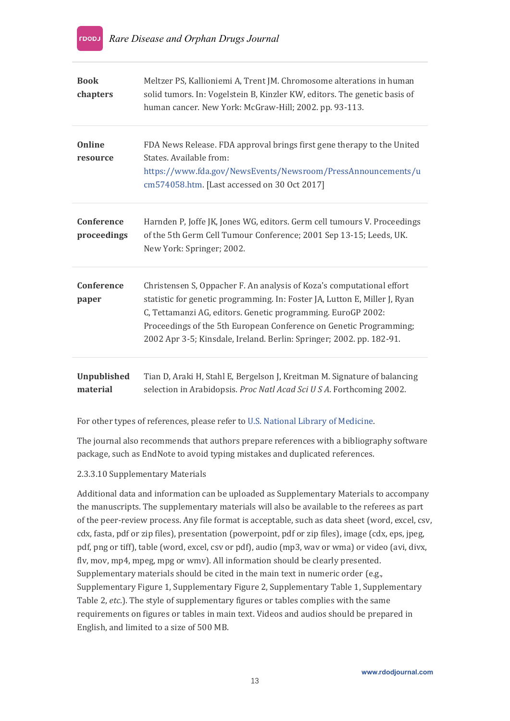| <b>Book</b><br>chapters        | Meltzer PS, Kallioniemi A, Trent JM. Chromosome alterations in human<br>solid tumors. In: Vogelstein B, Kinzler KW, editors. The genetic basis of<br>human cancer. New York: McGraw-Hill; 2002. pp. 93-113.                                                                                                                                                       |
|--------------------------------|-------------------------------------------------------------------------------------------------------------------------------------------------------------------------------------------------------------------------------------------------------------------------------------------------------------------------------------------------------------------|
| <b>Online</b><br>resource      | FDA News Release. FDA approval brings first gene therapy to the United<br>States. Available from:<br>https://www.fda.gov/NewsEvents/Newsroom/PressAnnouncements/u<br>cm574058.htm. [Last accessed on 30 Oct 2017]                                                                                                                                                 |
| Conference<br>proceedings      | Harnden P, Joffe JK, Jones WG, editors. Germ cell tumours V. Proceedings<br>of the 5th Germ Cell Tumour Conference; 2001 Sep 13-15; Leeds, UK.<br>New York: Springer; 2002.                                                                                                                                                                                       |
| Conference<br>paper            | Christensen S, Oppacher F. An analysis of Koza's computational effort<br>statistic for genetic programming. In: Foster JA, Lutton E, Miller J, Ryan<br>C, Tettamanzi AG, editors. Genetic programming. EuroGP 2002:<br>Proceedings of the 5th European Conference on Genetic Programming;<br>2002 Apr 3-5; Kinsdale, Ireland. Berlin: Springer; 2002. pp. 182-91. |
| <b>Unpublished</b><br>material | Tian D, Araki H, Stahl E, Bergelson J, Kreitman M. Signature of balancing<br>selection in Arabidopsis. Proc Natl Acad Sci U S A. Forthcoming 2002.                                                                                                                                                                                                                |

For other types of references, please refer to U.S. National Library of [Medicine.](https://www.nlm.nih.gov/bsd/uniform_requirements.html)

The journal also recommends that authors prepare references with a bibliography software package, such as EndNote to avoid typing mistakes and duplicated references.

#### <span id="page-12-0"></span>2.3.3.10 Supplementary Materials

Additional data and information can be uploaded as Supplementary Materials to accompany the manuscripts. The supplementary materials will also be available to the referees as part of the peer-review process. Any file format is acceptable, such as data sheet (word, excel, csv, cdx, fasta, pdf or zip files), presentation (powerpoint, pdf or zip files), image (cdx, eps, jpeg, pdf, png or tiff), table (word, excel, csv or pdf), audio (mp3, wav or wma) or video (avi, divx, flv, mov, mp4, mpeg, mpg or wmv). All information should be clearly presented. Supplementary materials should be cited in the main text in numeric order (e.g., Supplementary Figure 1, Supplementary Figure 2, Supplementary Table 1, Supplementary Table 2, *etc*.). The style of supplementary figures or tables complies with the same requirements on figures or tables in main text. Videos and audios should be prepared in English, and limited to a size of 500 MB.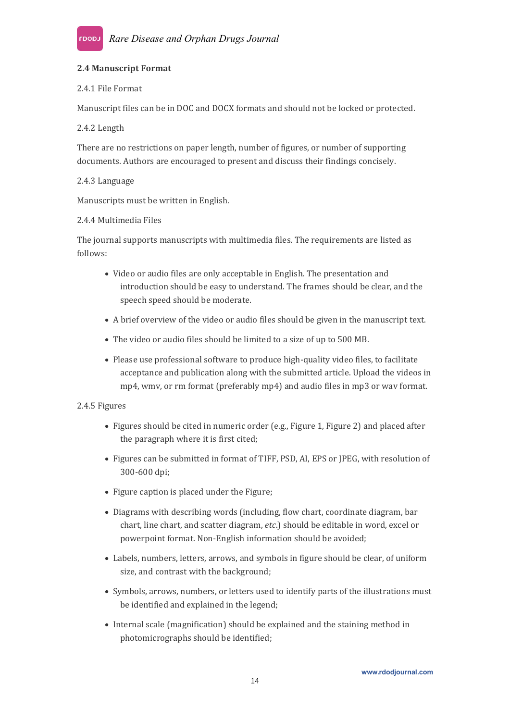#### <span id="page-13-0"></span>**2.4 Manuscript Format**

#### <span id="page-13-1"></span>2.4.1 File Format

Manuscript files can be in DOC and DOCX formats and should not be locked or protected.

#### <span id="page-13-2"></span>2.4.2 Length

There are no restrictions on paperlength, number of figures, or number of supporting documents. Authors are encouraged to present and discuss their findings concisely.

#### <span id="page-13-3"></span>2.4.3 Language

Manuscripts must be written in English.

#### <span id="page-13-4"></span>2.4.4 Multimedia Files

The journal supports manuscripts with multimedia files. The requirements are listed as follows:

- Video or audio files are only acceptable in English. The presentation and introduction should be easy to understand. The frames should be clear, and the speech speed should be moderate.
- A brief overview of the video or audio files should begiven in the manuscript text.
- The video or audio files should be limited to a size of up to 500 MB.
- Please use professional software to produce high-quality video files, to facilitate acceptance and publication along with the submitted article. Upload the videos in mp4, wmv, or rm format (preferably mp4) and audio files in mp3 or wav format.

#### <span id="page-13-5"></span>2.4.5 Figures

- Figures should be cited in numeric order (e.g., Figure 1, Figure 2) and placed after the paragraph where it is first cited;
- Figures can be submitted in format of TIFF,PSD, AI, EPS or JPEG, with resolution of 300-600 dpi;
- Figure caption is placed under the Figure;
- Diagrams with describing words (including, flow chart, coordinate diagram, bar chart, line chart, and scatter diagram, etc.) should be editable in word, excel or powerpoint format. Non-English information should be avoided;
- Labels, numbers, letters, arrows, and symbols in figure should beclear, of uniform size, and contrast with the background;
- Symbols, arrows, numbers, or letters used to identify parts of the illustrations must be identified and explained in the legend;
- Internal scale (magnification) should be explained and the staining method in photomicrographs should be identified;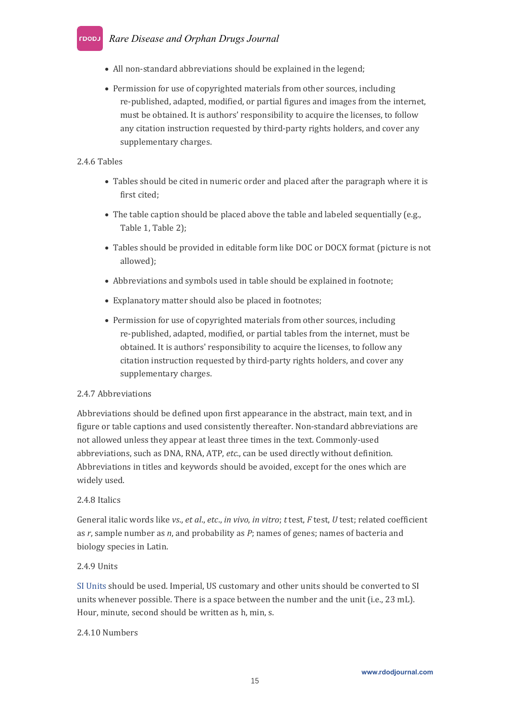## *Rare Disease and Orphan Drugs Journal*

- All non-standard abbreviations should be explained in the legend;
- Permission for use of copyrighted materials from other sources, including re-published, adapted, modified, or partial figures and images from the internet, must be obtained. It is authors' responsibility to acquire the licenses, to follow any citation instruction requested by third-party rights holders, and cover any supplementary charges.

#### <span id="page-14-0"></span>2.4.6 Tables

- Tables should be cited in numeric order and placed after the paragraph where it is first cited;
- The table caption should be placed above the table and labeled sequentially (e.g., Table 1, Table 2);
- Tables should be provided in editable form like DOC or DOCX format (picture is not allowed);
- Abbreviations and symbols used in table should be explained in footnote;
- Explanatory matter should also be placed in footnotes;
- Permission for use of copyrighted materials from other sources, including re-published, adapted, modified, or partial tables from the internet, must be obtained. It is authors' responsibility to acquire the licenses, to follow any citation instruction requested by third-party rights holders, and cover any supplementary charges.

#### <span id="page-14-1"></span>2.4.7 Abbreviations

Abbreviations should be defined upon first appearance in the abstract, main text, and in figure or table captions and used consistently thereafter. Non-standard abbreviations are not allowed unless they appear at least three times in the text. Commonly-used abbreviations, such as DNA, RNA, ATP, *etc*., can be used directly without definition. Abbreviations in titles and keywords should be avoided, except for the ones which are widely used.

#### <span id="page-14-2"></span>2.4.8 Italics

General italic words like *vs*., *et al*., *etc*., *in vivo*, *in vitro*; *t* test, *F* test, *U* test;related coefficient as *r*, sample number as *n*, and probability as *P*; names of genes; names of bacteria and biology species in Latin.

#### <span id="page-14-3"></span>2.4.9 Units

SI [Units](https://www.nist.gov/pml/weights-and-measures/si-units) should be used. Imperial, US customary and other units should be converted to SI units whenever possible. There is a space between the number and the unit (i.e., 23 mL). Hour, minute, second should be written as h, min, s.

#### <span id="page-14-4"></span>2.4.10 Numbers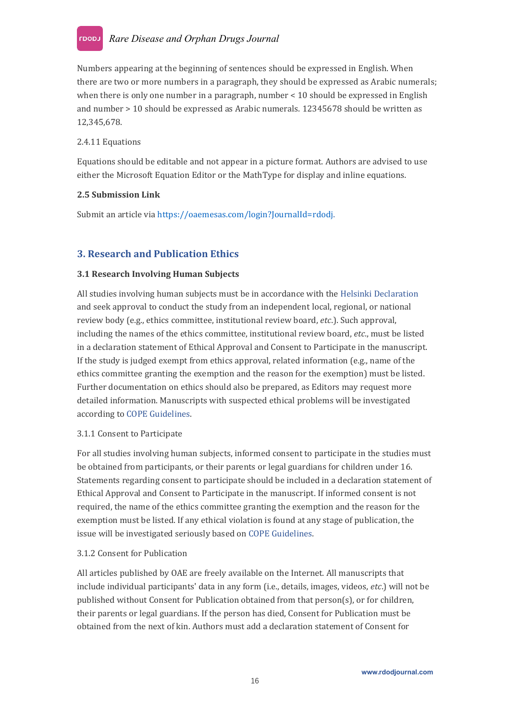Numbers appearing at the beginning of sentences should be expressed in English. When there are two or more numbers in a paragraph, they should be expressed as Arabic numerals; when there is only one number in a paragraph, number < 10 should be expressed in English and number > 10 should be expressed as Arabic numerals. 12345678 should be written as 12,345,678.

#### <span id="page-15-0"></span>2.4.11 Equations

Equations should beeditable and not appear in a picture format. Authors are advised to use either the Microsoft Equation Editor or the MathType for display and inline equations.

#### <span id="page-15-1"></span>**2.5 Submission Link**

Submit an article via <https://oaemesas.com/login?JournalId=rdodj>.

## <span id="page-15-2"></span>**3. Research and Publication Ethics**

#### <span id="page-15-3"></span>**3.1 Research Involving Human Subjects**

All studies involving human subjects must be in accordance with the Helsinki [Declaration](https://www.wma.net/policies-post/wma-declaration-of-helsinki-ethical-principles-for-medical-research-involving-human-subjects/) and seek approval to conduct the study from an independent local, regional, or national review body (e.g., ethics committee, institutional review board, *etc*.). Such approval, including the names of the ethics committee, institutional review board, *etc*., must be listed in a declaration statement of Ethical Approval and Consent to Participate in the manuscript.<br>If the study is judged exempt from ethics approval, related information (e.g., name of the ethics committee granting the exemption and the reason for the exemption) must be listed. Further documentation on ethics should also be prepared, as Editors may request more detailed information. Manuscripts with suspected ethical problems will be investigated according to COPE [Guidelines](https://publicationethics.org/guidance/Guidelines).

#### <span id="page-15-4"></span>3.1.1 Consent to Participate

For all studies involving human subjects, informed consent to participate in the studies must be obtained from participants, or their parents or legal guardians for children under 16. Statements regarding consent to participate should be included in a declaration statement of Ethical Approval and Consent to Participate in the manuscript.If informed consent is not required, the name of the ethics committee granting the exemption and the reason for the exemption must be listed. If any ethical violation is found at any stage of publication, the issue will be investigated seriously based on COPE [Guidelines.](https://publicationethics.org/guidance/Guidelines)

#### <span id="page-15-5"></span>3.1.2 Consent for Publication

All articles published by OAE arefreely available on the Internet. All manuscripts that include individual participants' data in any form (i.e., details, images, videos,*etc*.) will not be published without Consent for Publication obtained from that person(s), or for children, their parents or legal guardians. If the person has died, Consent for Publication must be obtained from the next of kin. Authors must add a declaration statement of Consent for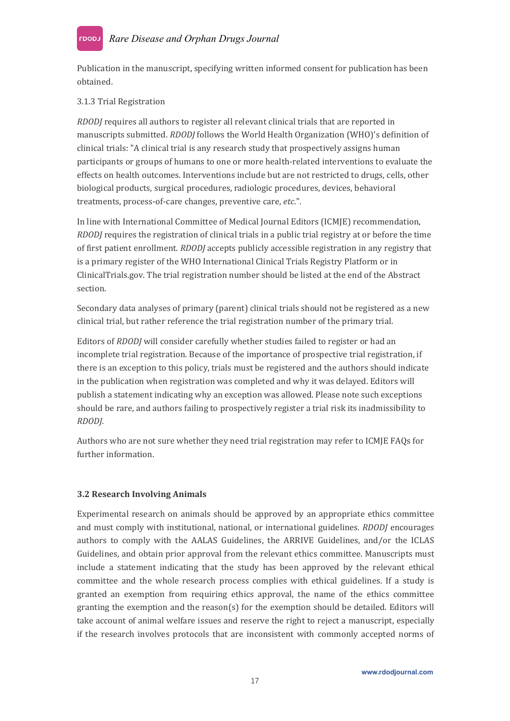#### *Rare Disease and Orphan Drugs Journal* LOODJ

Publication in the manuscript, specifying written informed consent for publication has been obtained.

#### <span id="page-16-0"></span>3.1.3 Trial Registration

*RDODJ* requires all authors to register all relevant clinical trials that are reported in manuscripts submitted. *RDODJ* follows the World Health [Organization](https://www.who.int/ictrp/en/) (WHO)'s definition of clinical trials: "A clinical trial is any research study that prospectively assigns human participants or groups of humans to one or more health-related interventions to evaluate the effects on health outcomes. Interventions include but are not restricted to drugs, cells, other biological products, surgical procedures, radiologic procedures, devices, behavioral treatments, process-of-care changes, preventive care, *etc*.".

In line with International Committee of Medical Journal Editors (ICMJE) recommendation, *RDODJ* requires the registration of clinical trials in a public trial registry at or before the time of first patient enrollment. *RDODJ* accepts publicly accessible registration in any registry that is a primary register of the WHO [International](https://www.who.int/ictrp/network/primary/en/) Clinical Trials Registry Platform or in [ClinicalTrials.gov](https://clinicaltrials.gov/). The trial registration number should belisted at the end of the Abstract section.

Secondary data analyses of primary (parent) clinical trials should not be registered as a new clinical trial, but rather reference the trial registration number of the primary trial.

Editors of *RDODJ* will consider carefully whether studies failed to register or had an incomplete trial registration. Because of the importance of prospective trial registration, if there is an exception to this policy, trials must be registered and the authors should indicate in the publication when registration was completed and why it was delayed. Editors will publish a statement indicating why an exception was allowed. Please note such exceptions should berare, and authors failing to prospectively register a trial risk its inadmissibility to *RDODJ*.

Authors who are not sure whether they need trial registration may refer to [ICMJE](http://www.icmje.org/about-icmje/faqs/clinical-trials-registration/) FAQs for further information.

#### <span id="page-16-1"></span>**3.2 Research Involving Animals**

Experimental research on animals should be approved by an appropriate ethics committee and must comply with institutional, national, or international guidelines. *RDODJ* encourages authors to comply with the AALAS [Guidelines](https://www.aalas.org/iacuc/laws-policies-guidelines), the ARRIVE [Guidelines,](https://www.nc3rs.org.uk/arrive-guidelines) and/or the [ICLAS](http://iclas.org/committees/ethics-and-animal-welfare-committee) Guidelines, and obtain prior approval from the relevant ethics committee. Manuscripts must include a statement indicating that the study has been approved by the relevant ethical committee and the whole research process complies with ethical guidelines. If a study is granted an exemption from requiring ethics approval, the name of the ethics committee granting the exemption and the reason(s) for the exemption should be detailed. Editors will take account of animal welfare issues and reserve the right to reject a manuscript, especially if the research involves protocols that are inconsistent with commonly accepted norms of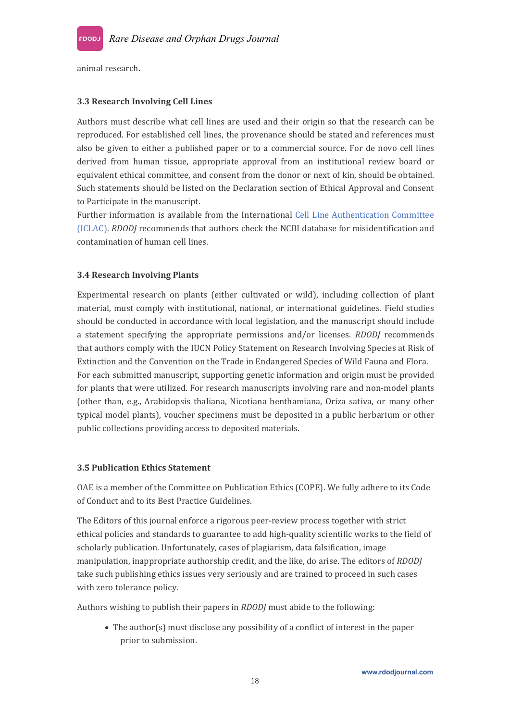

animal research.

#### <span id="page-17-0"></span>**3.3 Research Involving Cell Lines**

Authors must describe what cell lines are used and their origin so that the research can be reproduced. For established cell lines, the provenance should be stated and references must also be given to either a published paper or to acommercial source. For de novo cell lines derived from human tissue, appropriate approval from an institutional review board or equivalent ethical committee, and consent from the donor or next of kin, should be obtained. Such statements should belisted on the Declaration section of Ethical Approval and Consent to Participate in the manuscript.<br>Further information is available from the International Cell Line [Authentication](https://standards.atcc.org/kwspub/home/the_international_cell_line_authentication_committee-iclac_/) Committee

(ICLAC). *RDODJ* recommends that authors check the [NCBI](https://www.ncbi.nlm.nih.gov/) database for misidentification and contamination of human cell lines.

#### <span id="page-17-1"></span>**3.4 Research Involving Plants**

Experimental research on plants (either cultivated or wild), including collection of plant material, must comply with institutional, national, or international guidelines. Field studies should be conducted in accordance with local legislation, and the manuscript should include a statement specifying the appropriate permissions and/or licenses. *RDODJ* recommends that authors comply with the IUCN Policy [Statement](https://portals.iucn.org/library/efiles/documents/PP-003-En.pdf) on Research Involving Species at Risk of Extinction and the Convention on the Trade in [Endangered](https://cites.org/) Species of Wild Fauna and Flora. For each submitted manuscript, supporting genetic information and origin must be provided for plants that were utilized. For research manuscripts involving rare and non-model plants (other than, e.g., Arabidopsis thaliana, Nicotiana benthamiana, Oriza sativa, or many other typical model plants), voucher specimens must be deposited in a public herbarium or other public collections providing access to deposited materials.

#### <span id="page-17-2"></span>**3.5 Publication Ethics Statement**

OAE is amember of the Committee on Publication Ethics (COPE). We fully adhere to its Code of Conduct and to its Best Practice Guidelines.

The Editors of this journal enforce a rigorous peer-review process together with strict ethical policies and standards to guarantee to add high-quality scientific works to the field of scholarly publication. Unfortunately, cases of plagiarism, data falsification, image manipulation, inappropriate authorship credit, and the like, do arise. The editors of *RDODJ* take such publishing ethics issues very seriously and are trained to proceed in such cases with zero tolerance policy.

Authors wishing to publish their papers in *RDODJ* must abide to the following:

 The author(s) must disclose any possibility of a conflict of interest in the paper prior to submission.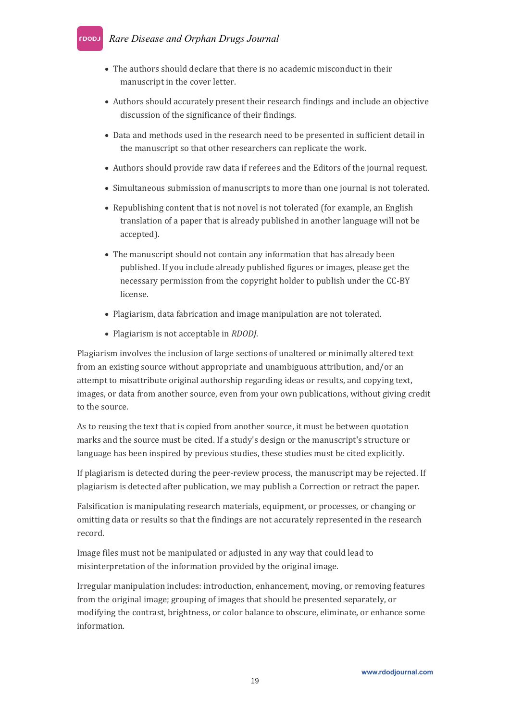#### *Rare Disease and Orphan Drugs Journal* Laoau

- The authors should declare that there is no academic misconduct in their manuscript in the cover letter.
- Authors should accurately present their research findings and include an objective discussion of the significance of their findings.
- Data and methods used in the research need to be presented in sufficient detail in the manuscript so that other researchers can replicate the work.
- Authors should provide raw data if referees and the Editors of the journal request.
- Simultaneous submission of manuscripts to more than one journal is not tolerated.
- Republishing content that is not novel is not tolerated (for example, an English translation of a paper that is already published in another language will not be accepted).
- The manuscript should not contain any information that has already been published. If you include already published figures or images, please get the necessary permission from the copyright holder to publish under the CC-BY license.
- Plagiarism, data fabrication and image manipulation are not tolerated.
- Plagiarism is not acceptable in *RDODJ*.

Plagiarism involves the inclusion of large sections of unaltered or minimally altered text from an existing source without appropriate and unambiguous attribution, and/or an attempt to misattribute original authorship regarding ideas or results, and copying text, images, or data from another source, even from your own publications, without giving credit to the source.

As to reusing the text that is copied from another source, it must be between quotation marks and the source must be cited. If a study's design or the manuscript's structure or language has been inspired by previous studies, these studies must be cited explicitly.

If plagiarism is detected during the peer-review process, the manuscript may be rejected. If plagiarism is detected after publication, we may publish a Correction or retract the paper.

Falsification is manipulating research materials, equipment, or processes, or changing or omitting data or results so that the findings are not accurately represented in the research record.

Image files must not be manipulated or adjusted in any way that could lead to misinterpretation of the information provided by the original image.

Irregular manipulation includes: introduction, enhancement, moving, or removing features from the original image; grouping of images that should be presented separately, or modifying the contrast, brightness, or color balance to obscure, eliminate, or enhance some information.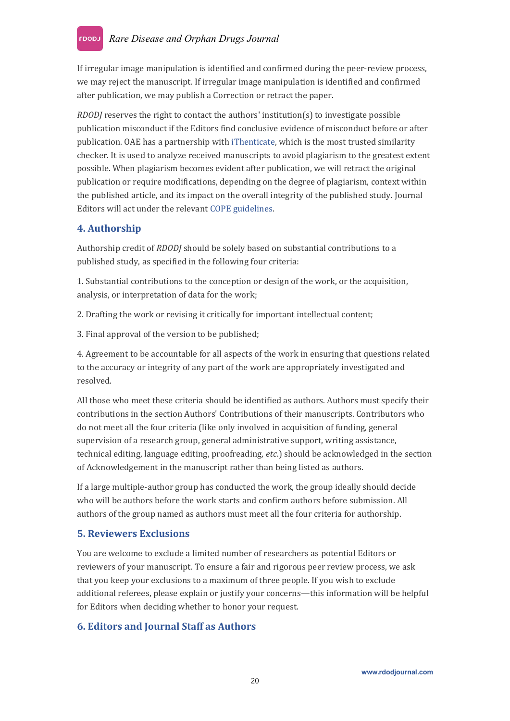If irregular image manipulation is identified and confirmed during the peer-review process, we may reject the manuscript.If irregular image manipulation is identified and confirmed after publication, we may publish a Correction or retract the paper.

*RDODJ* reserves the right to contact the authors' institution(s) to investigate possible publication misconduct if the Editors find conclusive evidence of misconduct before or after publication. OAE has a partnership with [iThenticate](http://www.ithenticate.com/), which is the most trusted similarity checker. It is used to analyze received manuscripts to avoid plagiarism to the greatest extent possible. When plagiarism becomes evident after publication, we will retract the original publication or require modifications, depending on the degree of plagiarism, context within the published article, and its impact on the overall integrity of the published study. Journal Editors will act under the relevant COPE [guidelines.](https://publicationethics.org/guidance/Guidelines)

## <span id="page-19-0"></span>**4. Authorship**

Authorship credit of *RDODJ* should besolely based on substantial contributions to a published study, as specified in the following four criteria:

1. Substantial contributions to the conception or design of the work, or the acquisition, analysis, or interpretation of data for the work;

2. Drafting the work or revising it critically for important intellectual content;

3. Final approval of the version to be published;

4. Agreement to be accountable for all aspects of the work in ensuring that questions related to the accuracy or integrity of any part of the work are appropriately investigated and resolved.

All those who meet these criteria should be identified as authors. Authors must specify their contributions in the section Authors' Contributions of their manuscripts. Contributors who do not meet all the four criteria (like only involved in acquisition of funding, general supervision of a research group, general administrative support, writing assistance, technical editing, language editing, proofreading, *etc*.) should beacknowledged in the section of Acknowledgement in the manuscript rather than being listed as authors.

If a large multiple-author group has conducted the work, the group ideally should decide who will be authors before the work starts and confirm authors before submission. All authors of the group named as authors must meet all the four criteria for authorship.

## <span id="page-19-1"></span>**5. Reviewers Exclusions**

You are welcome to exclude a limited number of researchers as potential Editors or reviewers of your manuscript. To ensure a fair and rigorous peer review process, we ask that you keep your exclusions to a maximum of three people. If you wish to exclude additional referees, please explain or justify your concerns—this information will be helpful for Editors when deciding whether to honor your request.

## <span id="page-19-2"></span>**6. Editors and Journal Staff as Authors**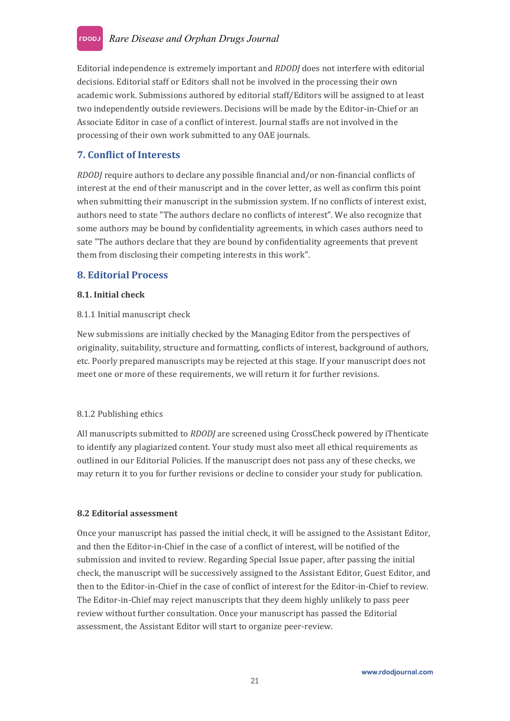Editorial independence is extremely important and *RDODJ* does not interfere with editorial decisions. Editorial staff or Editors shall not be involved in the processing their own academic work. Submissions authored by editorial staff/Editors will be assigned to at least two independently outside reviewers. Decisions will be made by the Editor-in-Chief or an Associate Editor in case of a conflict of interest. Journal staffs are not involved in the processing of their own work submitted to any OAE journals.

## <span id="page-20-0"></span>**7. Conflict of Interests**

*RDODJ* require authors to declare any possible financial and/or non-financial conflicts of interest at the end of their manuscript and in the cover letter, as well as confirm this point when submitting their manuscript in the submission system. If no conflicts of interest exist, authors need to state "The authors declare no conflicts of interest". We also recognize that some authors may be bound by confidentiality agreements, in which cases authors need to sate "The authors declare that they are bound by confidentiality agreements that prevent them from disclosing their competing interests in this work".

## <span id="page-20-1"></span>**8. Editorial Process**

#### <span id="page-20-2"></span>**8.1. Initial check**

#### <span id="page-20-3"></span>8.1.1 Initial manuscript check

New submissions are initially checked by the Managing Editor from the perspectives of originality, suitability, structure and formatting, conflicts of interest, background of authors, etc. Poorly prepared manuscripts may be rejected at this stage. If your manuscript does not meet one or more of these requirements, we will return it for further revisions.

#### <span id="page-20-4"></span>8.1.2 Publishing ethics

All manuscripts submitted to *RDODJ* are screened using CrossCheck powered by [iThenticate](https://www.ithenticate.com/) to identify any plagiarized content. Your study must also meet allethical requirements as outlined in our [Editorial](https://jmijournal.com/pages/view/editorial_policies) Policies. If the manuscript does not pass any of these checks, we may return it to you for further revisions or decline to consider your study for publication.

#### <span id="page-20-5"></span>**8.2 Editorial assessment**

Once your manuscript has passed the initial check, it will be assigned to the Assistant Editor, and then the Editor-in-Chief in the case of a conflict of interest, will be notified of the submission and invited to review. Regarding Special Issue paper, after passing the initial check, the manuscript will be successively assigned to the Assistant Editor, Guest Editor, and then to the Editor-in-Chief in the case of conflict of interest for the Editor-in-Chief to review. The Editor-in-Chief may reject manuscripts that they deem highly unlikely to pass peer review without further consultation. Once your manuscript has passed the Editorial assessment, the Assistant Editor will start to organize peer-review.